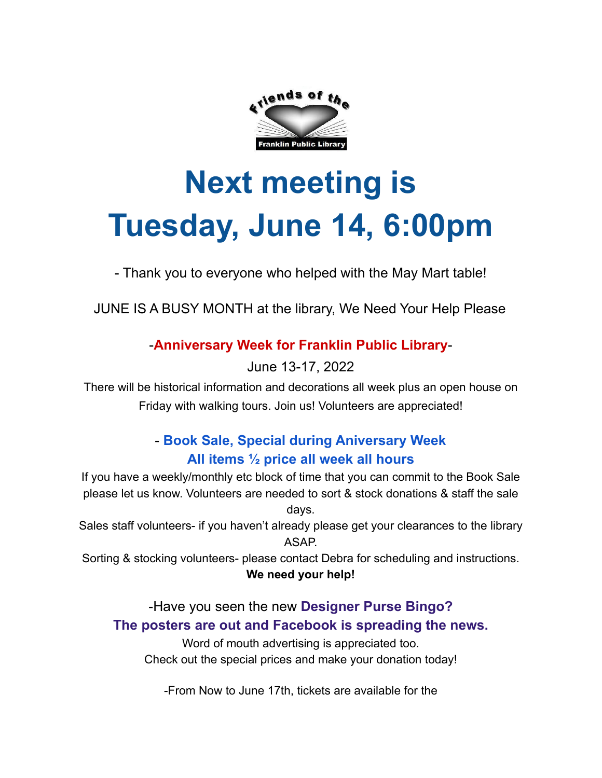

# **Next meeting is Tuesday, June 14, 6:00pm**

- Thank you to everyone who helped with the May Mart table!

JUNE IS A BUSY MONTH at the library, We Need Your Help Please

#### -**Anniversary Week for Franklin Public Library**-

June 13-17, 2022

There will be historical information and decorations all week plus an open house on Friday with walking tours. Join us! Volunteers are appreciated!

### - **Book Sale, Special during Aniversary Week All items ½ price all week all hours**

If you have a weekly/monthly etc block of time that you can commit to the Book Sale please let us know. Volunteers are needed to sort & stock donations & staff the sale days.

Sales staff volunteers- if you haven't already please get your clearances to the library ASAP.

Sorting & stocking volunteers- please contact Debra for scheduling and instructions. **We need your help!**

#### -Have you seen the new **Designer Purse Bingo? The posters are out and Facebook is spreading the news.**

Word of mouth advertising is appreciated too. Check out the special prices and make your donation today!

-From Now to June 17th, tickets are available for the